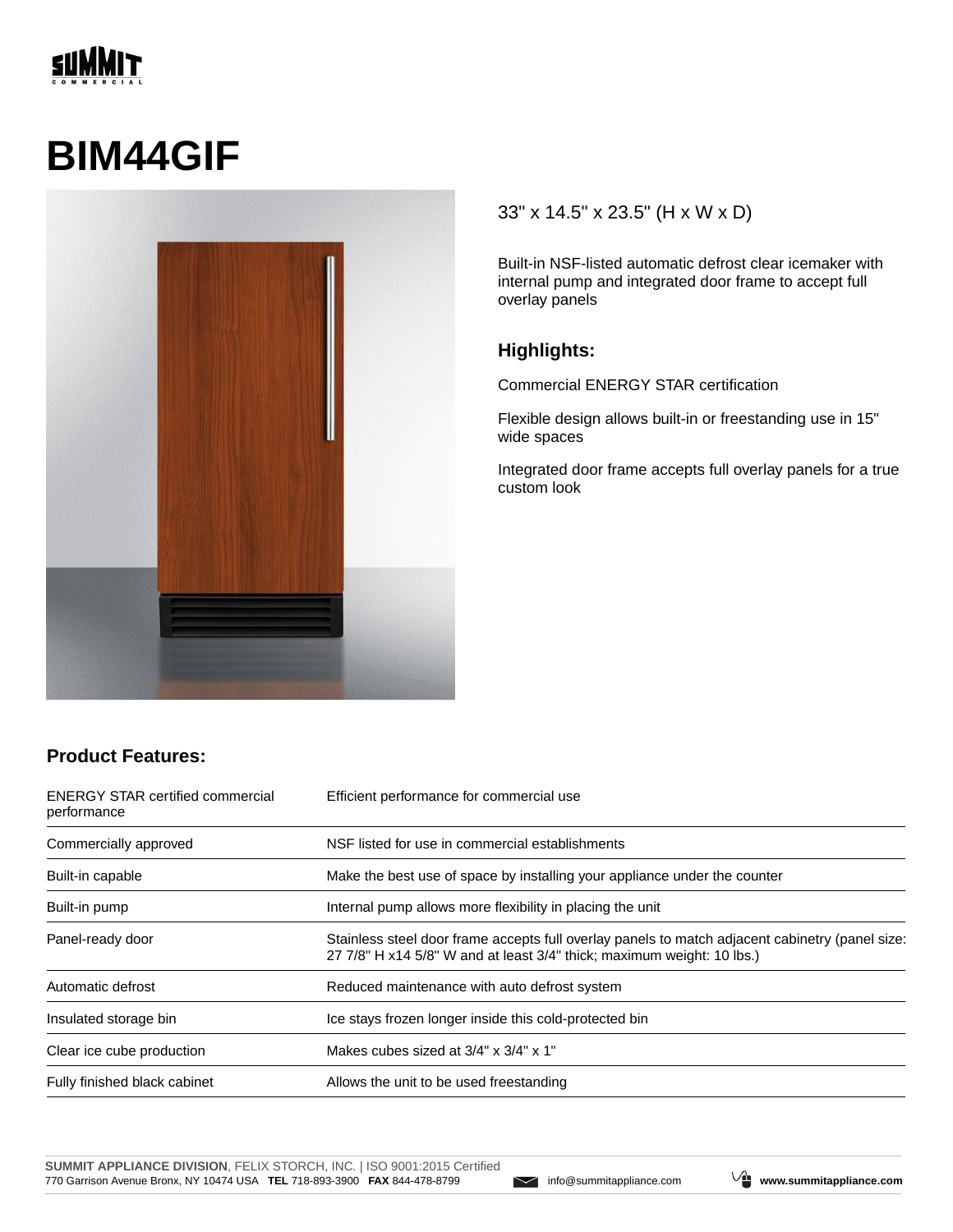# **SUMMIT**

# **BIM44GIF**



#### 33" x 14.5" x 23.5" (H x W x D)

Built-in NSF-listed automatic defrost clear icemaker with internal pump and integrated door frame to accept full overlay panels

#### **Highlights:**

Commercial ENERGY STAR certification

Flexible design allows built-in or freestanding use in 15" wide spaces

Integrated door frame accepts full overlay panels for a true custom look

### **Product Features:**

| <b>ENERGY STAR certified commercial</b><br>performance | Efficient performance for commercial use                                                                                                                                  |
|--------------------------------------------------------|---------------------------------------------------------------------------------------------------------------------------------------------------------------------------|
| Commercially approved                                  | NSF listed for use in commercial establishments                                                                                                                           |
| Built-in capable                                       | Make the best use of space by installing your appliance under the counter                                                                                                 |
| Built-in pump                                          | Internal pump allows more flexibility in placing the unit                                                                                                                 |
| Panel-ready door                                       | Stainless steel door frame accepts full overlay panels to match adjacent cabinetry (panel size:<br>27 7/8" H x14 5/8" W and at least 3/4" thick; maximum weight: 10 lbs.) |
| Automatic defrost                                      | Reduced maintenance with auto defrost system                                                                                                                              |
| Insulated storage bin                                  | Ice stays frozen longer inside this cold-protected bin                                                                                                                    |
| Clear ice cube production                              | Makes cubes sized at $3/4$ " x $3/4$ " x $1$ "                                                                                                                            |
| Fully finished black cabinet                           | Allows the unit to be used freestanding                                                                                                                                   |